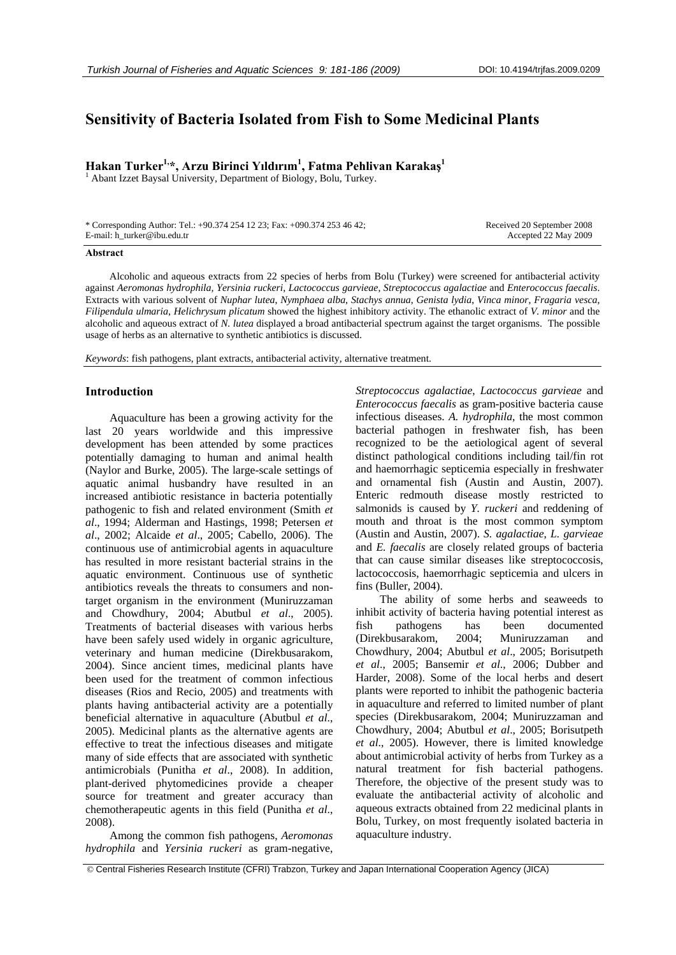# **Sensitivity of Bacteria Isolated from Fish to Some Medicinal Plants**

**Hakan Turker<sup>1,\*</sup>, Arzu Birinci Yıldırım<sup>1</sup>, Fatma Pehlivan Karakaş<sup>1</sup><br><sup>1</sup> Abert Izzet Beysel University, Department of Biology, Bolu Turkey** 

 $<sup>1</sup>$  Abant Izzet Baysal University, Department of Biology, Bolu, Turkey.</sup>

\* Corresponding Author: Tel.: +90.374 254 12 23; Fax: +090.374 253 46 42; E-mail: h\_turker@ibu.edu.tr

 Received 20 September 2008 Accepted 22 May 2009

### **Abstract**

Alcoholic and aqueous extracts from 22 species of herbs from Bolu (Turkey) were screened for antibacterial activity against *Aeromonas hydrophila, Yersinia ruckeri*, *Lactococcus garvieae*, *Streptococcus agalactiae* and *Enterococcus faecalis*. Extracts with various solvent of *Nuphar lutea*, *Nymphaea alba*, *Stachys annua*, *Genista lydia*, *Vinca minor*, *Fragaria vesca*, *Filipendula ulmaria*, *Helichrysum plicatum* showed the highest inhibitory activity. The ethanolic extract of *V. minor* and the alcoholic and aqueous extract of *N. lutea* displayed a broad antibacterial spectrum against the target organisms. The possible usage of herbs as an alternative to synthetic antibiotics is discussed.

*Keywords*: fish pathogens, plant extracts, antibacterial activity, alternative treatment.

## **Introduction**

Aquaculture has been a growing activity for the last 20 years worldwide and this impressive development has been attended by some practices potentially damaging to human and animal health (Naylor and Burke, 2005). The large-scale settings of aquatic animal husbandry have resulted in an increased antibiotic resistance in bacteria potentially pathogenic to fish and related environment (Smith *et al*., 1994; Alderman and Hastings, 1998; Petersen *et al*., 2002; Alcaide *et al*., 2005; Cabello, 2006). The continuous use of antimicrobial agents in aquaculture has resulted in more resistant bacterial strains in the aquatic environment. Continuous use of synthetic antibiotics reveals the threats to consumers and nontarget organism in the environment (Muniruzzaman and Chowdhury, 2004; Abutbul *et al*., 2005). Treatments of bacterial diseases with various herbs have been safely used widely in organic agriculture, veterinary and human medicine (Direkbusarakom, 2004). Since ancient times, medicinal plants have been used for the treatment of common infectious diseases (Rios and Recio, 2005) and treatments with plants having antibacterial activity are a potentially beneficial alternative in aquaculture (Abutbul *et al*., 2005). Medicinal plants as the alternative agents are effective to treat the infectious diseases and mitigate many of side effects that are associated with synthetic antimicrobials (Punitha *et al*., 2008). In addition, plant-derived phytomedicines provide a cheaper source for treatment and greater accuracy than chemotherapeutic agents in this field (Punitha *et al*., 2008).

Among the common fish pathogens, *Aeromonas hydrophila* and *Yersinia ruckeri* as gram-negative, *Streptococcus agalactiae*, *Lactococcus garvieae* and *Enterococcus faecalis* as gram-positive bacteria cause infectious diseases. *A. hydrophila*, the most common bacterial pathogen in freshwater fish, has been recognized to be the aetiological agent of several distinct pathological conditions including tail/fin rot and haemorrhagic septicemia especially in freshwater and ornamental fish (Austin and Austin, 2007). Enteric redmouth disease mostly restricted to salmonids is caused by *Y. ruckeri* and reddening of mouth and throat is the most common symptom (Austin and Austin, 2007). *S. agalactiae*, *L. garvieae*  and *E. faecalis* are closely related groups of bacteria that can cause similar diseases like streptococcosis, lactococcosis, haemorrhagic septicemia and ulcers in fins (Buller, 2004).

The ability of some herbs and seaweeds to inhibit activity of bacteria having potential interest as fish pathogens has been documented (Direkbusarakom, 2004; Muniruzzaman and Chowdhury, 2004; Abutbul *et al*., 2005; Borisutpeth *et al*., 2005; Bansemir *et al*., 2006; Dubber and Harder, 2008). Some of the local herbs and desert plants were reported to inhibit the pathogenic bacteria in aquaculture and referred to limited number of plant species (Direkbusarakom, 2004; Muniruzzaman and Chowdhury, 2004; Abutbul *et al*., 2005; Borisutpeth *et al*., 2005). However, there is limited knowledge about antimicrobial activity of herbs from Turkey as a natural treatment for fish bacterial pathogens. Therefore, the objective of the present study was to evaluate the antibacterial activity of alcoholic and aqueous extracts obtained from 22 medicinal plants in Bolu, Turkey, on most frequently isolated bacteria in aquaculture industry.

 <sup>©</sup> Central Fisheries Research Institute (CFRI) Trabzon, Turkey and Japan International Cooperation Agency (JICA)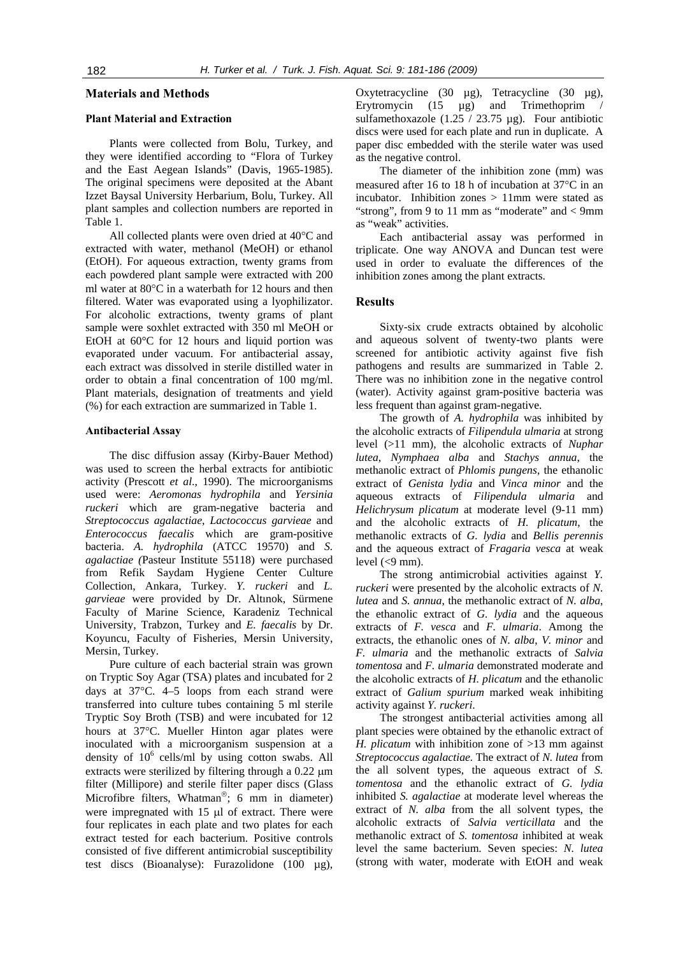## **Materials and Methods**

# **Plant Material and Extraction**

Plants were collected from Bolu, Turkey, and they were identified according to "Flora of Turkey and the East Aegean Islands" (Davis, 1965-1985). The original specimens were deposited at the Abant Izzet Baysal University Herbarium, Bolu, Turkey. All plant samples and collection numbers are reported in Table 1.

All collected plants were oven dried at 40°C and extracted with water, methanol (MeOH) or ethanol (EtOH). For aqueous extraction, twenty grams from each powdered plant sample were extracted with 200 ml water at 80°C in a waterbath for 12 hours and then filtered. Water was evaporated using a lyophilizator. For alcoholic extractions, twenty grams of plant sample were soxhlet extracted with 350 ml MeOH or EtOH at 60°C for 12 hours and liquid portion was evaporated under vacuum. For antibacterial assay, each extract was dissolved in sterile distilled water in order to obtain a final concentration of 100 mg/ml. Plant materials, designation of treatments and yield (%) for each extraction are summarized in Table 1.

#### **Antibacterial Assay**

The disc diffusion assay (Kirby-Bauer Method) was used to screen the herbal extracts for antibiotic activity (Prescott *et al*., 1990). The microorganisms used were: *Aeromonas hydrophila* and *Yersinia ruckeri* which are gram-negative bacteria and *Streptococcus agalactiae*, *Lactococcus garvieae* and *Enterococcus faecalis* which are gram-positive bacteria. *A. hydrophila* (ATCC 19570) and *S. agalactiae (*Pasteur Institute 55118) were purchased from Refik Saydam Hygiene Center Culture Collection, Ankara, Turkey. *Y. ruckeri* and *L. garvieae* were provided by Dr. Altınok, Sürmene Faculty of Marine Science, Karadeniz Technical University, Trabzon, Turkey and *E. faecalis* by Dr. Koyuncu, Faculty of Fisheries, Mersin University, Mersin, Turkey.

Pure culture of each bacterial strain was grown on Tryptic Soy Agar (TSA) plates and incubated for 2 days at 37°C. 4–5 loops from each strand were transferred into culture tubes containing 5 ml sterile Tryptic Soy Broth (TSB) and were incubated for 12 hours at 37°C. Mueller Hinton agar plates were inoculated with a microorganism suspension at a density of  $10^6$  cells/ml by using cotton swabs. All extracts were sterilized by filtering through a 0.22 μm filter (Millipore) and sterile filter paper discs (Glass Microfibre filters, Whatman®; 6 mm in diameter) were impregnated with 15 µl of extract. There were four replicates in each plate and two plates for each extract tested for each bacterium. Positive controls consisted of five different antimicrobial susceptibility test discs (Bioanalyse): Furazolidone (100 µg),

Oxytetracycline (30 µg), Tetracycline (30 µg), Erytromycin  $(15 \quad \mu g)$  and Trimethoprim sulfamethoxazole  $(1.25 / 23.75 \text{ µg})$ . Four antibiotic discs were used for each plate and run in duplicate. A paper disc embedded with the sterile water was used as the negative control.

The diameter of the inhibition zone (mm) was measured after 16 to 18 h of incubation at 37°C in an incubator. Inhibition zones > 11mm were stated as "strong", from 9 to 11 mm as "moderate" and < 9mm as "weak" activities.

Each antibacterial assay was performed in triplicate. One way ANOVA and Duncan test were used in order to evaluate the differences of the inhibition zones among the plant extracts.

### **Results**

Sixty-six crude extracts obtained by alcoholic and aqueous solvent of twenty-two plants were screened for antibiotic activity against five fish pathogens and results are summarized in Table 2. There was no inhibition zone in the negative control (water). Activity against gram-positive bacteria was less frequent than against gram-negative.

The growth of *A. hydrophila* was inhibited by the alcoholic extracts of *Filipendula ulmaria* at strong level (>11 mm), the alcoholic extracts of *Nuphar lutea*, *Nymphaea alba* and *Stachys annua*, the methanolic extract of *Phlomis pungens*, the ethanolic extract of *Genista lydia* and *Vinca minor* and the aqueous extracts of *Filipendula ulmaria* and *Helichrysum plicatum* at moderate level (9-11 mm) and the alcoholic extracts of *H. plicatum*, the methanolic extracts of *G. lydia* and *Bellis perennis* and the aqueous extract of *Fragaria vesca* at weak level  $(< 9$  mm).

The strong antimicrobial activities against *Y. ruckeri* were presented by the alcoholic extracts of *N. lutea* and *S. annua*, the methanolic extract of *N. alba*, the ethanolic extract of *G. lydia* and the aqueous extracts of *F. vesca* and *F. ulmaria*. Among the extracts, the ethanolic ones of *N. alba*, *V. minor* and *F. ulmaria* and the methanolic extracts of *Salvia tomentosa* and *F. ulmaria* demonstrated moderate and the alcoholic extracts of *H. plicatum* and the ethanolic extract of *Galium spurium* marked weak inhibiting activity against *Y. ruckeri*.

The strongest antibacterial activities among all plant species were obtained by the ethanolic extract of *H. plicatum* with inhibition zone of >13 mm against *Streptococcus agalactiae.* The extract of *N. lutea* from the all solvent types, the aqueous extract of *S. tomentosa* and the ethanolic extract of *G. lydia*  inhibited *S. agalactiae* at moderate level whereas the extract of *N. alba* from the all solvent types, the alcoholic extracts of *Salvia verticillata* and the methanolic extract of *S. tomentosa* inhibited at weak level the same bacterium. Seven species: *N. lutea* (strong with water, moderate with EtOH and weak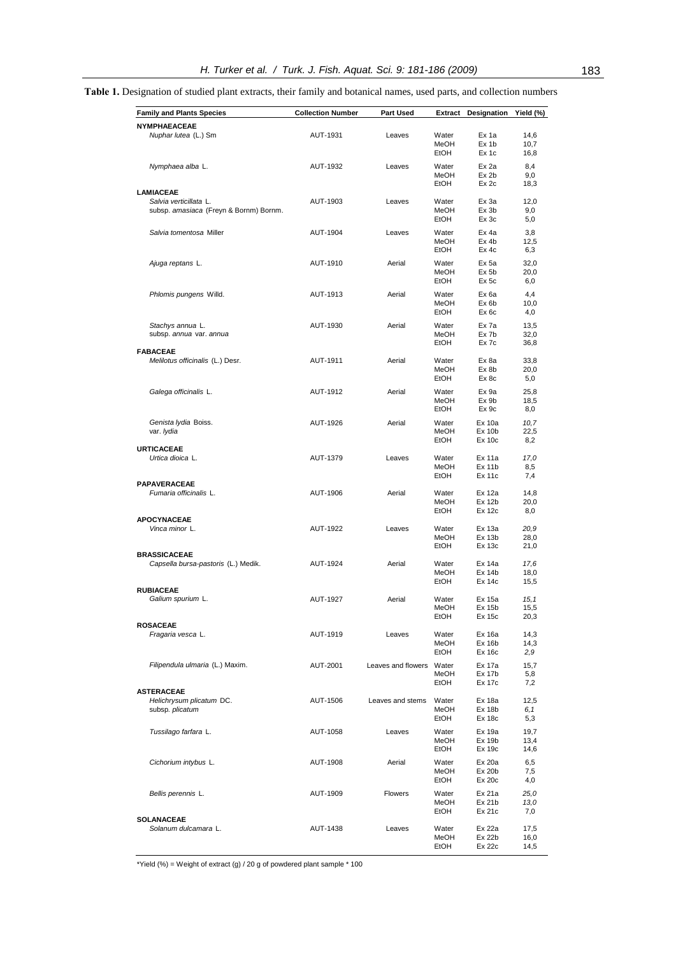**Table 1.** Designation of studied plant extracts, their family and botanical names, used parts, and collection numbers

| <b>Family and Plants Species</b>              | <b>Collection Number</b> | <b>Part Used</b>   | Extract       | Designation        | Yield (%)    |
|-----------------------------------------------|--------------------------|--------------------|---------------|--------------------|--------------|
| <b>NYMPHAEACEAE</b>                           |                          |                    |               |                    |              |
| <i>Nuphar lutea</i> (L.) Sm                   | AUT-1931                 | Leaves             | Water         | Ex 1a              | 14,6         |
|                                               |                          |                    | MeOH          | Ex 1b              | 10,7         |
|                                               |                          |                    | EtOH          | Ex 1c              | 16,8         |
| Nymphaea alba L.                              | AUT-1932                 | Leaves             | Water         | Ex 2a              | 8,4          |
|                                               |                          |                    | MeOH          | Ex2b               | 9,0          |
|                                               |                          |                    | EtOH          | Ex 2c              | 18,3         |
| <b>LAMIACEAE</b><br>Salvia verticillata L.    | AUT-1903                 | Leaves             | Water         | Ex 3a              | 12,0         |
| subsp. amasiaca (Freyn & Bornm) Bornm.        |                          |                    | MeOH          | Ex 3b              | 9,0          |
|                                               |                          |                    | EtOH          | Ex 3c              | 5,0          |
| Salvia tomentosa Miller                       | AUT-1904                 | Leaves             | Water         | Ex 4a              | 3,8          |
|                                               |                          |                    | <b>MeOH</b>   | Ex 4b              | 12,5         |
|                                               |                          |                    | EtOH          | Ex 4c              | 6,3          |
| Ajuga reptans L.                              | AUT-1910                 | Aerial             | Water         | Ex 5a              | 32,0         |
|                                               |                          |                    | MeOH          | Ex 5b              | 20,0         |
|                                               |                          |                    | EtOH          | Ex 5c              | 6,0          |
| Phlomis pungens Willd.                        | AUT-1913                 | Aerial             | Water         | Ex <sub>6a</sub>   | 4,4          |
|                                               |                          |                    | MeOH          | Ex 6b              | 10,0         |
|                                               |                          |                    | EtOH          | Ex 6c              | 4,0          |
| Stachys annua L.                              | AUT-1930                 | Aerial             | Water         | Ex 7a              | 13,5         |
| subsp. annua var. annua                       |                          |                    | MeOH          | Ex 7b              | 32,0         |
|                                               |                          |                    | EtOH          | Ex 7c              | 36,8         |
| <b>FABACEAE</b>                               | AUT-1911                 | Aerial             | Water         | Ex 8a              | 33,8         |
| Melilotus officinalis (L.) Desr.              |                          |                    | MeOH          | Ex 8b              | 20,0         |
|                                               |                          |                    | EtOH          | Ex 8c              | 5,0          |
| Galega officinalis L.                         | AUT-1912                 | Aerial             | Water         | Ex 9a              | 25,8         |
|                                               |                          |                    | MeOH          | Ex 9b              | 18,5         |
|                                               |                          |                    | EtOH          | Ex 9c              | 8,0          |
| Genista Iydia Boiss.                          | AUT-1926                 | Aerial             | Water         | <b>Ex 10a</b>      | 10,7         |
| var. lydia                                    |                          |                    | MeOH          | Ex 10b             | 22,5         |
|                                               |                          |                    | EtOH          | Ex 10 <sub>c</sub> | 8,2          |
| URTICACEAE                                    |                          |                    |               |                    |              |
| Urtica dioica L.                              | AUT-1379                 | Leaves             | Water         | Ex 11a             | 17,0         |
|                                               |                          |                    | MeOH<br>EtOH  | Ex 11b<br>Ex 11c   | 8,5<br>7,4   |
| PAPAVERACEAE                                  |                          |                    |               |                    |              |
| Fumaria officinalis L.                        | AUT-1906                 | Aerial             | Water         | Ex 12a             | 14,8         |
|                                               |                          |                    | MeOH          | Ex 12b             | 20,0         |
| <b>APOCYNACEAE</b>                            |                          |                    | EtOH          | <b>Ex 12c</b>      | 8,0          |
| Vinca minor L.                                | AUT-1922                 | Leaves             | Water         | Ex 13a             | 20,9         |
|                                               |                          |                    | MeOH          | Ex 13b             | 28,0         |
|                                               |                          |                    | EtOH          | Ex 13c             | 21,0         |
| <b>BRASSICACEAE</b>                           |                          |                    |               |                    |              |
| Capsella bursa-pastoris (L.) Medik.           | AUT-1924                 | Aerial             | Water<br>MeOH | Ex 14a<br>Ex 14b   | 17,6<br>18,0 |
|                                               |                          |                    | EtOH          | Ex 14c             | 15,5         |
| RUBIACEAE                                     |                          |                    |               |                    |              |
| Galium spurium L.                             | AUT-1927                 | Aerial             | Water         | Ex 15a             | 15, 1        |
|                                               |                          |                    | MeOH          | Ex 15b             | 15,5         |
| <b>ROSACEAE</b>                               |                          |                    | EtOH          | <b>Ex 15c</b>      | 20,3         |
| Fragaria vesca L.                             | AUT-1919                 | Leaves             | Water         | Ex 16a             | 14,3         |
|                                               |                          |                    | MeOH          | Ex 16b             | 14,3         |
|                                               |                          |                    | EtOH          | Ex 16 <sub>c</sub> | 2,9          |
| Filipendula ulmaria (L.) Maxim.               | AUT-2001                 | Leaves and flowers | Water         | Ex 17a             | 15,7         |
|                                               |                          |                    | MeOH          | Ex 17b             | 5,8          |
|                                               |                          |                    | EtOH          | <b>Ex 17c</b>      | 7,2          |
| <b>ASTERACEAE</b><br>Helichrysum plicatum DC. | AUT-1506                 | Leaves and stems   | Water         | Ex 18a             | 12,5         |
| subsp. plicatum                               |                          |                    | MeOH          | Ex 18b             | 6,1          |
|                                               |                          |                    | EtOH          | <b>Ex 18c</b>      | 5,3          |
| Tussilago farfara L.                          | AUT-1058                 | Leaves             | Water         | Ex 19a             | 19,7         |
|                                               |                          |                    | <b>MeOH</b>   | Ex 19b             | 13,4         |
|                                               |                          |                    | EtOH          | Ex 19c             | 14,6         |
| Cichorium intybus L.                          | AUT-1908                 | Aerial             | Water         | Ex 20a             | 6,5          |
|                                               |                          |                    | MeOH          | Ex 20b             | 7,5          |
|                                               |                          |                    | EtOH          | Ex 20 <sub>c</sub> | 4,0          |
| Bellis perennis L.                            | AUT-1909                 | <b>Flowers</b>     | Water         | Ex 21a             | 25,0         |
|                                               |                          |                    | MeOH          | Ex 21b             | 13,0         |
|                                               |                          |                    | EtOH          | Ex21c              | 7,0          |
| SOLANACEAE                                    |                          |                    |               |                    |              |
| Solanum dulcamara L.                          | AUT-1438                 | Leaves             | Water<br>MeOH | Ex 22a<br>Ex 22b   | 17,5<br>16,0 |
|                                               |                          |                    | EtOH          | Ex 22c             | 14,5         |

\*Yield (%) = Weight of extract (g) / 20 g of powdered plant sample \* 100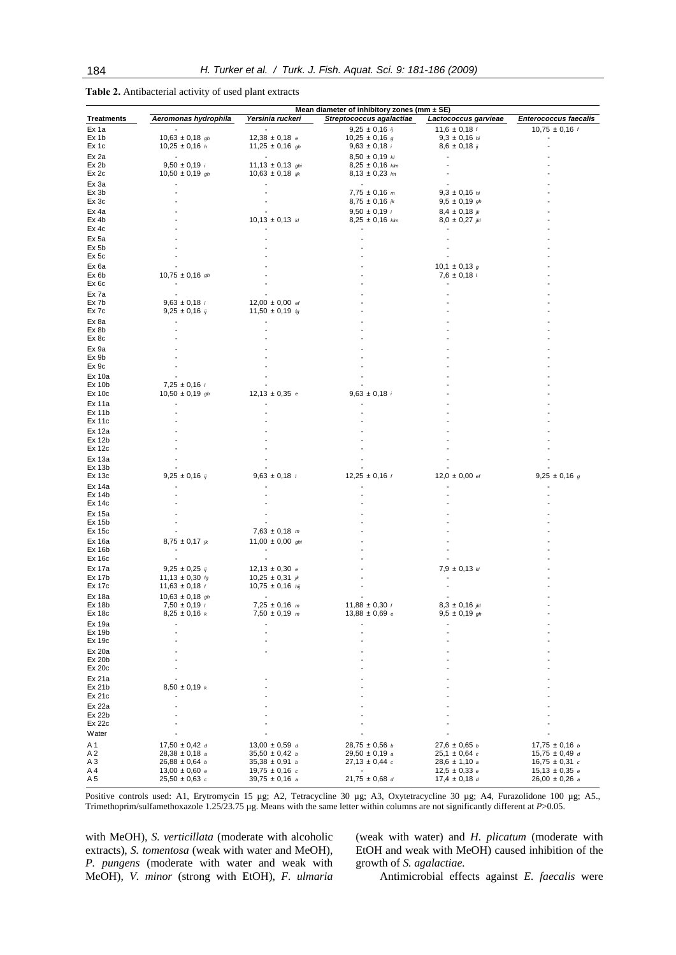| <b>Treatments</b>       | Aeromonas hydrophila                     | Yersinia ruckeri                         | Streptococcus agalactiae                 | Lactococcus garvieae                              | <b>Enterococcus faecalis</b>             |
|-------------------------|------------------------------------------|------------------------------------------|------------------------------------------|---------------------------------------------------|------------------------------------------|
| Ex 1a<br>Ex 1b          | $10,63 \pm 0,18$ gh                      | $12,38 \pm 0,18$ e                       | $9,25 \pm 0,16$ ij<br>$10,25 \pm 0,16$ g | 11,6 $\pm$ 0,18 $\pm$<br>$9,3 \pm 0,16$ hi        | $10,75 \pm 0,16$ f                       |
| Ex 1c                   | $10,25 \pm 0,16$ h                       | $11,25 \pm 0,16$ gh                      | $9,63 \pm 0,18$                          | $8,6 \pm 0,18 \;$ ij                              |                                          |
| Ex 2a                   |                                          |                                          | $8,50 \pm 0,19$ kl                       |                                                   |                                          |
| Ex 2b                   | $9,50 \pm 0,19$ i                        | $11,13 \pm 0,13$ ghi                     | $8,25 \pm 0,16$ klm                      |                                                   |                                          |
| Ex 2c                   | $10,50 \pm 0,19$ gh                      | 10,63 $\pm$ 0,18 <i>ijk</i>              | $8,13 \pm 0,23$ lm                       |                                                   |                                          |
| Ex 3a                   |                                          |                                          |                                          |                                                   |                                          |
| Ex 3b                   |                                          |                                          | $7,75 \pm 0,16 \, m$                     | $9,3 \pm 0,16$ hi                                 |                                          |
| Ex 3c                   |                                          |                                          | $8,75 \pm 0,16 \; \mu$                   | $9,5 \pm 0,19$ gh                                 |                                          |
| Ex 4a<br>Ex 4b          |                                          | $10,13 \pm 0,13$ k/                      | $9,50 \pm 0,19$ i<br>$8,25 \pm 0,16$ klm | $8,4 \pm 0,18 \text{ } \mu$<br>$8,0 \pm 0,27$ jkl |                                          |
| Ex 4c                   |                                          |                                          |                                          |                                                   |                                          |
| Ex 5a                   |                                          |                                          |                                          |                                                   |                                          |
| Ex 5b                   |                                          |                                          |                                          |                                                   |                                          |
| Ex 5c                   |                                          |                                          |                                          |                                                   |                                          |
| Ex 6a                   |                                          |                                          |                                          | $10,1 \pm 0,13$ g                                 |                                          |
| Ex 6b                   | $10,75 \pm 0,16$ gh                      |                                          |                                          | $7,6 \pm 0,18$                                    |                                          |
| Ex 6c                   |                                          |                                          |                                          |                                                   |                                          |
| Ex 7a<br>Ex 7b          | $9,63 \pm 0,18$                          | $12,00 \pm 0,00$ ef                      |                                          |                                                   |                                          |
| Ex 7c                   | $9,25 \pm 0,16$ ij                       | 11,50 $\pm$ 0,19 $tg$                    |                                          |                                                   |                                          |
| Ex 8a                   |                                          |                                          |                                          |                                                   |                                          |
| Ex 8b                   |                                          |                                          |                                          |                                                   |                                          |
| Ex 8c                   |                                          |                                          |                                          |                                                   |                                          |
| Ex 9a                   |                                          |                                          |                                          |                                                   |                                          |
| Ex 9b                   |                                          |                                          |                                          |                                                   |                                          |
| Ex 9c                   |                                          |                                          |                                          |                                                   |                                          |
| Ex 10a<br>Ex 10b        | $7,25 \pm 0,16$ /                        |                                          |                                          |                                                   |                                          |
| Ex 10 <sub>c</sub>      | $10,50 \pm 0,19$ gh                      | $12,13 \pm 0,35$ e                       | $9,63 \pm 0,18$                          |                                                   |                                          |
| Ex 11a                  |                                          |                                          |                                          |                                                   |                                          |
| Ex 11b                  |                                          |                                          |                                          |                                                   |                                          |
| Ex 11c                  |                                          |                                          |                                          |                                                   |                                          |
| Ex 12a                  |                                          |                                          |                                          |                                                   |                                          |
| Ex 12b                  |                                          |                                          |                                          |                                                   |                                          |
| Ex 12c                  |                                          |                                          |                                          |                                                   |                                          |
| Ex 13a<br>Ex 13b        |                                          |                                          |                                          |                                                   |                                          |
| Ex 13c                  | $9,25 \pm 0,16$ ij                       | $9,63 \pm 0,18$                          | $12,25 \pm 0,16$ f                       | $12,0 \pm 0,00$ ef                                | $9,25 \pm 0,16$ g                        |
| Ex 14a                  |                                          |                                          |                                          |                                                   |                                          |
| Ex 14b                  |                                          |                                          |                                          |                                                   |                                          |
| Ex 14c                  |                                          |                                          |                                          |                                                   |                                          |
| Ex 15a                  |                                          |                                          |                                          |                                                   |                                          |
| Ex 15b<br>Ex 15c        |                                          | $7,63 \pm 0,18$ m                        |                                          |                                                   |                                          |
| Ex 16a                  | $8,75 \pm 0,17 \; jk$                    | $11,00 \pm 0,00$ ghi                     |                                          |                                                   |                                          |
| Ex 16b                  |                                          |                                          |                                          |                                                   |                                          |
| Ex 16c                  |                                          |                                          |                                          |                                                   |                                          |
| Ex 17a                  | $9,25 \pm 0,25$ ij                       | $12,13 \pm 0,30$ e                       |                                          | $7,9 \pm 0,13 \; \text{k}$                        |                                          |
| Ex 17b                  | 11,13 $\pm$ 0,30 $tg$                    | $10,25 \pm 0,31$ jk                      |                                          |                                                   |                                          |
| Ex 17 <sub>c</sub>      | $11,63 \pm 0,18$ f                       | $10,75 \pm 0,16$ hij                     |                                          |                                                   |                                          |
| Ex 18a<br><b>Ex 18b</b> | $10,63 \pm 0,18$ gh                      | $7,25 \pm 0,16$ m                        | $11,88 \pm 0,30$ f                       |                                                   |                                          |
| <b>Ex 18c</b>           | $7,50 \pm 0,19$ /<br>$8,25 \pm 0,16 k$   | $7,50 \pm 0,19$ m                        | $13,88 \pm 0,69$ e                       | $8,3 \pm 0,16$ jkl<br>$9,5 \pm 0,19$ gh           |                                          |
| Ex 19a                  |                                          |                                          |                                          |                                                   |                                          |
| Ex 19b                  |                                          |                                          |                                          |                                                   |                                          |
| Ex 19c                  |                                          |                                          |                                          |                                                   |                                          |
| Ex 20a                  |                                          |                                          |                                          |                                                   |                                          |
| <b>Ex 20b</b>           |                                          |                                          |                                          |                                                   |                                          |
| <b>Ex 20c</b>           |                                          |                                          |                                          |                                                   |                                          |
| Ex 21a<br>Ex 21b        | $8,50 \pm 0,19 k$                        |                                          |                                          |                                                   |                                          |
| Ex 21c                  |                                          |                                          |                                          |                                                   |                                          |
| Ex 22a                  |                                          |                                          |                                          |                                                   |                                          |
| Ex 22b                  |                                          |                                          |                                          |                                                   |                                          |
| <b>Ex 22c</b>           |                                          |                                          |                                          |                                                   |                                          |
| Water                   |                                          |                                          |                                          |                                                   |                                          |
| A 1                     | $17,50 \pm 0,42$ d                       | $13,00 \pm 0,59$ d                       | $28,75 \pm 0,56$ b                       | $27,6 \pm 0,65$ b                                 | $17,75 \pm 0,16$ b                       |
| A 2                     | $28,38 \pm 0,18$ a                       | $35,50 \pm 0,42$ b                       | $29,50 \pm 0,19$ a                       | $25,1 \pm 0,64$ c                                 | $15,75 \pm 0,49$ d                       |
| A <sub>3</sub><br>A 4   | $26,88 \pm 0,64$ b<br>$13,00 \pm 0,60$ e | $35,38 \pm 0.91$ b<br>$19,75 \pm 0,16$ c | $27,13 \pm 0,44$ c                       | $28,6 \pm 1,10$ a<br>$12,5 \pm 0,33 e$            | $16,75 \pm 0,31$ c<br>$15,13 \pm 0,35$ e |
| A 5                     | $25,50 \pm 0,63$ c                       | $39,75 \pm 0,16$ a                       | $21,75 \pm 0,68$ d                       | $17,4 \pm 0,18$ d                                 | $26,00 \pm 0,26$ a                       |

**Table 2.** Antibacterial activity of used plant extracts

Positive controls used: A1, Erytromycin 15 µg; A2, Tetracycline 30 µg; A3, Oxytetracycline 30 µg; A4, Furazolidone 100 µg; A5., Trimethoprim/sulfamethoxazole 1.25/23.75 µg. Means with the same letter within columns are not significantly different at *P*>0.05.

with MeOH), *S. verticillata* (moderate with alcoholic extracts), *S. tomentosa* (weak with water and MeOH), *P. pungens* (moderate with water and weak with MeOH), *V. minor* (strong with EtOH), *F. ulmaria* (weak with water) and *H. plicatum* (moderate with EtOH and weak with MeOH) caused inhibition of the growth of *S. agalactiae.* 

Antimicrobial effects against *E. faecalis* were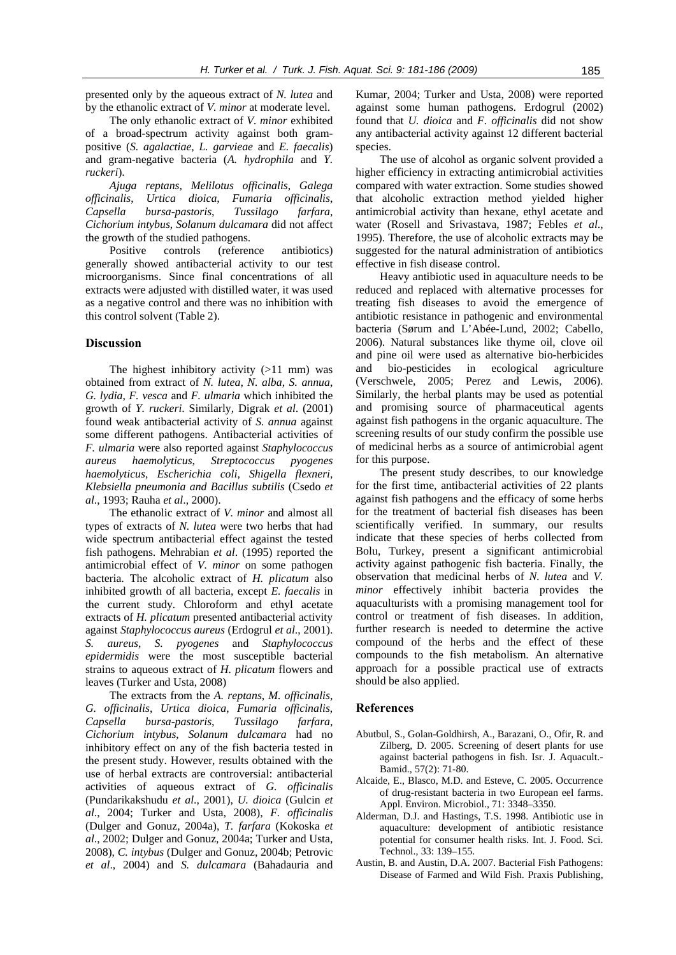presented only by the aqueous extract of *N. lutea* and by the ethanolic extract of *V. minor* at moderate level.

The only ethanolic extract of *V. minor* exhibited of a broad-spectrum activity against both grampositive (*S. agalactiae*, *L. garvieae* and *E. faecalis*) and gram-negative bacteria (*A. hydrophila* and *Y. ruckeri*).

*Ajuga reptans*, *Melilotus officinalis*, *Galega officinalis*, *Urtica dioica*, *Fumaria officinalis*, *Capsella bursa-pastoris*, *Tussilago farfara*, *Cichorium intybus*, *Solanum dulcamara* did not affect the growth of the studied pathogens.

Positive controls (reference antibiotics) generally showed antibacterial activity to our test microorganisms. Since final concentrations of all extracts were adjusted with distilled water, it was used as a negative control and there was no inhibition with this control solvent (Table 2).

### **Discussion**

The highest inhibitory activity  $(>11$  mm) was obtained from extract of *N. lutea*, *N. alba*, *S. annua*, *G. lydia*, *F. vesca* and *F. ulmaria* which inhibited the growth of *Y. ruckeri*. Similarly, Digrak *et al*. (2001) found weak antibacterial activity of *S. annua* against some different pathogens. Antibacterial activities of *F. ulmaria* were also reported against *Staphylococcus aureus haemolyticus*, *Streptococcus pyogenes haemolyticus*, *Escherichia coli*, *Shigella flexneri*, *Klebsiella pneumonia and Bacillus subtilis* (Csedo *et al*., 1993; Rauha *et al*., 2000).

The ethanolic extract of *V. minor* and almost all types of extracts of *N. lutea* were two herbs that had wide spectrum antibacterial effect against the tested fish pathogens. Mehrabian *et al*. (1995) reported the antimicrobial effect of *V. minor* on some pathogen bacteria. The alcoholic extract of *H. plicatum* also inhibited growth of all bacteria, except *E. faecalis* in the current study*.* Chloroform and ethyl acetate extracts of *H. plicatum* presented antibacterial activity against *Staphylococcus aureus* (Erdogrul *et al*., 2001). *S. aureus*, *S. pyogenes* and *Staphylococcus epidermidis* were the most susceptible bacterial strains to aqueous extract of *H. plicatum* flowers and leaves (Turker and Usta, 2008)

The extracts from the *A. reptans*, *M. officinalis*, *G. officinalis*, *Urtica dioica*, *Fumaria officinalis*, *Capsella bursa-pastoris*, *Tussilago farfara*, *Cichorium intybus*, *Solanum dulcamara* had no inhibitory effect on any of the fish bacteria tested in the present study. However, results obtained with the use of herbal extracts are controversial: antibacterial activities of aqueous extract of *G. officinalis* (Pundarikakshudu *et al*., 2001), *U. dioica* (Gulcin *et al*., 2004; Turker and Usta, 2008), *F. officinalis* (Dulger and Gonuz, 2004a), *T. farfara* (Kokoska *et al*., 2002; Dulger and Gonuz, 2004a; Turker and Usta, 2008), *C. intybus* (Dulger and Gonuz, 2004b; Petrovic *et al*., 2004) and *S. dulcamara* (Bahadauria and Kumar, 2004; Turker and Usta, 2008) were reported against some human pathogens. Erdogrul (2002) found that *U. dioica* and *F. officinalis* did not show any antibacterial activity against 12 different bacterial species.

The use of alcohol as organic solvent provided a higher efficiency in extracting antimicrobial activities compared with water extraction. Some studies showed that alcoholic extraction method yielded higher antimicrobial activity than hexane, ethyl acetate and water (Rosell and Srivastava, 1987; Febles *et al*., 1995). Therefore, the use of alcoholic extracts may be suggested for the natural administration of antibiotics effective in fish disease control.

Heavy antibiotic used in aquaculture needs to be reduced and replaced with alternative processes for treating fish diseases to avoid the emergence of antibiotic resistance in pathogenic and environmental bacteria (Sørum and L'Abée-Lund, 2002; Cabello, 2006). Natural substances like thyme oil, clove oil and pine oil were used as alternative bio-herbicides and bio-pesticides in ecological agriculture (Verschwele, 2005; Perez and Lewis, 2006). Similarly, the herbal plants may be used as potential and promising source of pharmaceutical agents against fish pathogens in the organic aquaculture. The screening results of our study confirm the possible use of medicinal herbs as a source of antimicrobial agent for this purpose.

The present study describes, to our knowledge for the first time, antibacterial activities of 22 plants against fish pathogens and the efficacy of some herbs for the treatment of bacterial fish diseases has been scientifically verified. In summary, our results indicate that these species of herbs collected from Bolu, Turkey, present a significant antimicrobial activity against pathogenic fish bacteria. Finally, the observation that medicinal herbs of *N. lutea* and *V. minor* effectively inhibit bacteria provides the aquaculturists with a promising management tool for control or treatment of fish diseases. In addition, further research is needed to determine the active compound of the herbs and the effect of these compounds to the fish metabolism. An alternative approach for a possible practical use of extracts should be also applied.

### **References**

- Abutbul, S., Golan-Goldhirsh, A., Barazani, O., Ofir, R. and Zilberg, D. 2005. Screening of desert plants for use against bacterial pathogens in fish. Isr. J. Aquacult.- Bamid., 57(2): 71-80.
- Alcaide, E., Blasco, M.D. and Esteve, C. 2005. Occurrence of drug-resistant bacteria in two European eel farms. Appl. Environ. Microbiol., 71: 3348–3350.
- Alderman, D.J. and Hastings, T.S. 1998. Antibiotic use in aquaculture: development of antibiotic resistance potential for consumer health risks. Int. J. Food. Sci. Technol., 33: 139–155.
- Austin, B. and Austin, D.A. 2007. Bacterial Fish Pathogens: Disease of Farmed and Wild Fish. Praxis Publishing,